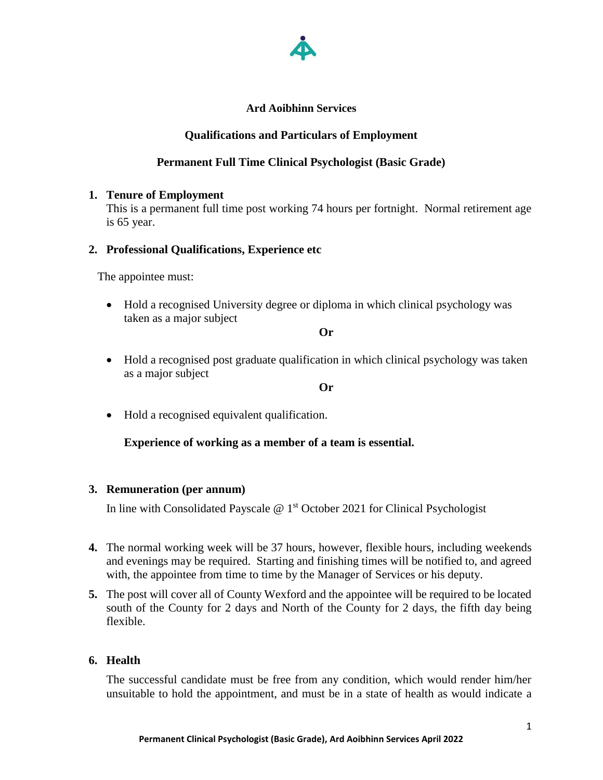

# **Ard Aoibhinn Services**

# **Qualifications and Particulars of Employment**

# **Permanent Full Time Clinical Psychologist (Basic Grade)**

### **1. Tenure of Employment**

This is a permanent full time post working 74 hours per fortnight. Normal retirement age is 65 year.

# **2. Professional Qualifications, Experience etc**

The appointee must:

• Hold a recognised University degree or diploma in which clinical psychology was taken as a major subject

**Or**

• Hold a recognised post graduate qualification in which clinical psychology was taken as a major subject

**Or**

• Hold a recognised equivalent qualification.

### **Experience of working as a member of a team is essential.**

### **3. Remuneration (per annum)**

In line with Consolidated Payscale @ 1<sup>st</sup> October 2021 for Clinical Psychologist

- **4.** The normal working week will be 37 hours, however, flexible hours, including weekends and evenings may be required. Starting and finishing times will be notified to, and agreed with, the appointee from time to time by the Manager of Services or his deputy.
- **5.** The post will cover all of County Wexford and the appointee will be required to be located south of the County for 2 days and North of the County for 2 days, the fifth day being flexible.

### **6. Health**

The successful candidate must be free from any condition, which would render him/her unsuitable to hold the appointment, and must be in a state of health as would indicate a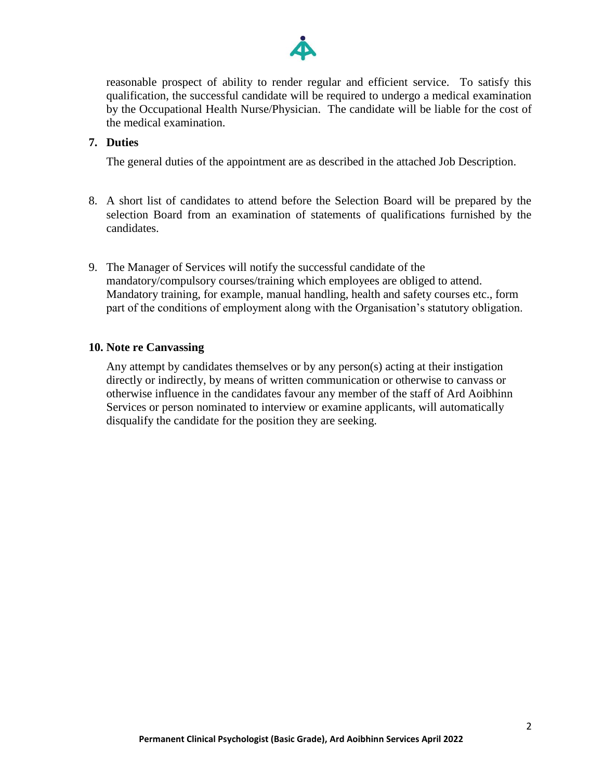

reasonable prospect of ability to render regular and efficient service. To satisfy this qualification, the successful candidate will be required to undergo a medical examination by the Occupational Health Nurse/Physician. The candidate will be liable for the cost of the medical examination.

# **7. Duties**

The general duties of the appointment are as described in the attached Job Description.

- 8. A short list of candidates to attend before the Selection Board will be prepared by the selection Board from an examination of statements of qualifications furnished by the candidates.
- 9. The Manager of Services will notify the successful candidate of the mandatory/compulsory courses/training which employees are obliged to attend. Mandatory training, for example, manual handling, health and safety courses etc., form part of the conditions of employment along with the Organisation's statutory obligation.

### **10. Note re Canvassing**

Any attempt by candidates themselves or by any person(s) acting at their instigation directly or indirectly, by means of written communication or otherwise to canvass or otherwise influence in the candidates favour any member of the staff of Ard Aoibhinn Services or person nominated to interview or examine applicants, will automatically disqualify the candidate for the position they are seeking.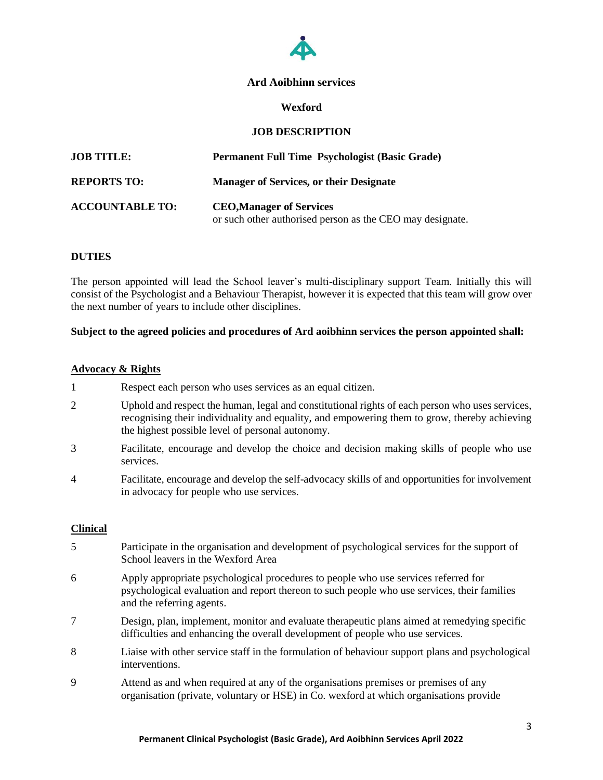

### **Ard Aoibhinn services**

#### **Wexford**

### **JOB DESCRIPTION**

| <b>JOB TITLE:</b>      | Permanent Full Time Psychologist (Basic Grade)                                               |
|------------------------|----------------------------------------------------------------------------------------------|
| <b>REPORTS TO:</b>     | <b>Manager of Services, or their Designate</b>                                               |
| <b>ACCOUNTABLE TO:</b> | <b>CEO, Manager of Services</b><br>or such other authorised person as the CEO may designate. |

#### **DUTIES**

The person appointed will lead the School leaver's multi-disciplinary support Team. Initially this will consist of the Psychologist and a Behaviour Therapist, however it is expected that this team will grow over the next number of years to include other disciplines.

### **Subject to the agreed policies and procedures of Ard aoibhinn services the person appointed shall:**

#### **Advocacy & Rights**

- 1 Respect each person who uses services as an equal citizen.
- 2 Uphold and respect the human, legal and constitutional rights of each person who uses services, recognising their individuality and equality, and empowering them to grow, thereby achieving the highest possible level of personal autonomy.
- 3 Facilitate, encourage and develop the choice and decision making skills of people who use services.
- 4 Facilitate, encourage and develop the self-advocacy skills of and opportunities for involvement in advocacy for people who use services.

#### **Clinical**

- 5 Participate in the organisation and development of psychological services for the support of School leavers in the Wexford Area
- 6 Apply appropriate psychological procedures to people who use services referred for psychological evaluation and report thereon to such people who use services, their families and the referring agents.
- 7 Design, plan, implement, monitor and evaluate therapeutic plans aimed at remedying specific difficulties and enhancing the overall development of people who use services.
- 8 Liaise with other service staff in the formulation of behaviour support plans and psychological interventions.
- 9 Attend as and when required at any of the organisations premises or premises of any organisation (private, voluntary or HSE) in Co. wexford at which organisations provide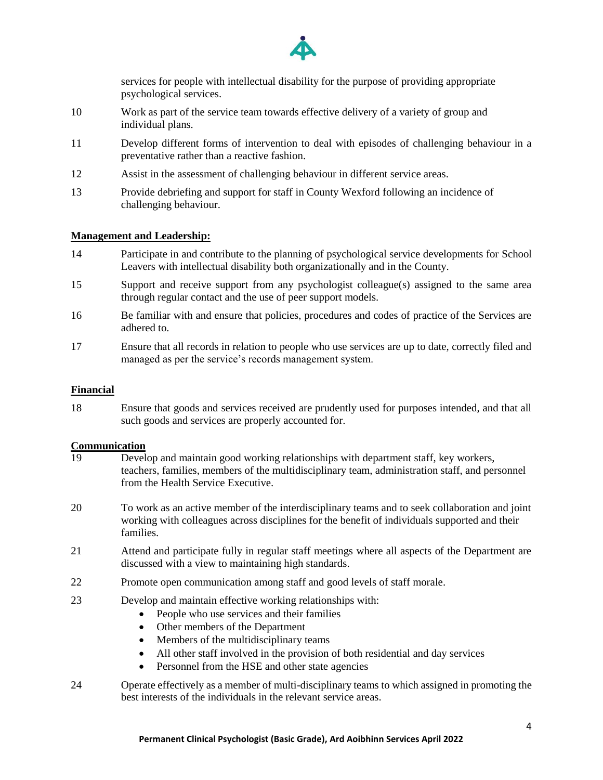

services for people with intellectual disability for the purpose of providing appropriate psychological services.

- 10 Work as part of the service team towards effective delivery of a variety of group and individual plans.
- 11 Develop different forms of intervention to deal with episodes of challenging behaviour in a preventative rather than a reactive fashion.
- 12 Assist in the assessment of challenging behaviour in different service areas.
- 13 Provide debriefing and support for staff in County Wexford following an incidence of challenging behaviour.

### **Management and Leadership:**

- 14 Participate in and contribute to the planning of psychological service developments for School Leavers with intellectual disability both organizationally and in the County.
- 15 Support and receive support from any psychologist colleague(s) assigned to the same area through regular contact and the use of peer support models.
- 16 Be familiar with and ensure that policies, procedures and codes of practice of the Services are adhered to.
- 17 Ensure that all records in relation to people who use services are up to date, correctly filed and managed as per the service's records management system.

#### **Financial**

18 Ensure that goods and services received are prudently used for purposes intended, and that all such goods and services are properly accounted for.

### **Communication**

- 19 Develop and maintain good working relationships with department staff, key workers, teachers, families, members of the multidisciplinary team, administration staff, and personnel from the Health Service Executive.
- 20 To work as an active member of the interdisciplinary teams and to seek collaboration and joint working with colleagues across disciplines for the benefit of individuals supported and their families.
- 21 Attend and participate fully in regular staff meetings where all aspects of the Department are discussed with a view to maintaining high standards.
- 22 Promote open communication among staff and good levels of staff morale.
- 23 Develop and maintain effective working relationships with:
	- People who use services and their families
	- Other members of the Department
	- Members of the multidisciplinary teams
	- All other staff involved in the provision of both residential and day services
	- Personnel from the HSE and other state agencies
- 24 Operate effectively as a member of multi-disciplinary teams to which assigned in promoting the best interests of the individuals in the relevant service areas.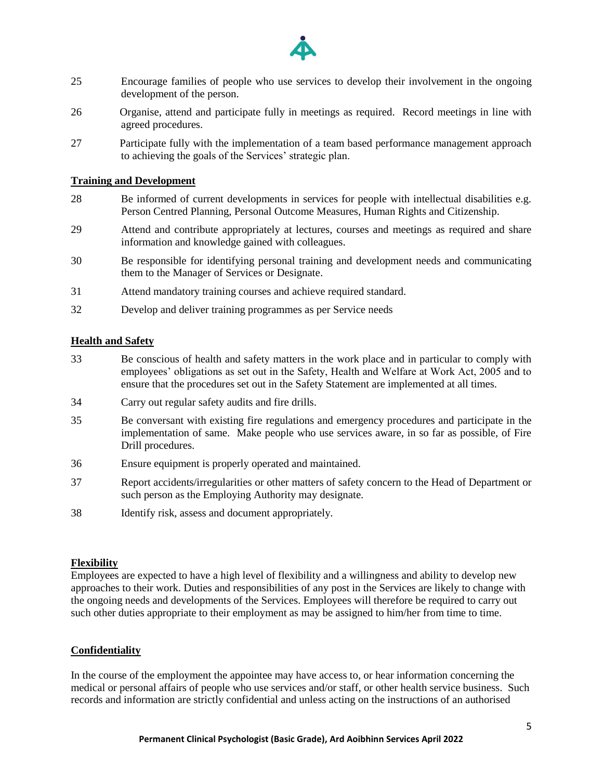

- 25 Encourage families of people who use services to develop their involvement in the ongoing development of the person.
- 26 Organise, attend and participate fully in meetings as required. Record meetings in line with agreed procedures.
- 27 Participate fully with the implementation of a team based performance management approach to achieving the goals of the Services' strategic plan.

### **Training and Development**

- 28 Be informed of current developments in services for people with intellectual disabilities e.g. Person Centred Planning, Personal Outcome Measures, Human Rights and Citizenship.
- 29 Attend and contribute appropriately at lectures, courses and meetings as required and share information and knowledge gained with colleagues.
- 30 Be responsible for identifying personal training and development needs and communicating them to the Manager of Services or Designate.
- 31 Attend mandatory training courses and achieve required standard.
- 32 Develop and deliver training programmes as per Service needs

### **Health and Safety**

- 33 Be conscious of health and safety matters in the work place and in particular to comply with employees' obligations as set out in the Safety, Health and Welfare at Work Act, 2005 and to ensure that the procedures set out in the Safety Statement are implemented at all times.
- 34 Carry out regular safety audits and fire drills.
- 35 Be conversant with existing fire regulations and emergency procedures and participate in the implementation of same. Make people who use services aware, in so far as possible, of Fire Drill procedures.
- 36 Ensure equipment is properly operated and maintained.
- 37 Report accidents/irregularities or other matters of safety concern to the Head of Department or such person as the Employing Authority may designate.
- 38 Identify risk, assess and document appropriately.

### **Flexibility**

Employees are expected to have a high level of flexibility and a willingness and ability to develop new approaches to their work. Duties and responsibilities of any post in the Services are likely to change with the ongoing needs and developments of the Services. Employees will therefore be required to carry out such other duties appropriate to their employment as may be assigned to him/her from time to time.

#### **Confidentiality**

In the course of the employment the appointee may have access to, or hear information concerning the medical or personal affairs of people who use services and/or staff, or other health service business. Such records and information are strictly confidential and unless acting on the instructions of an authorised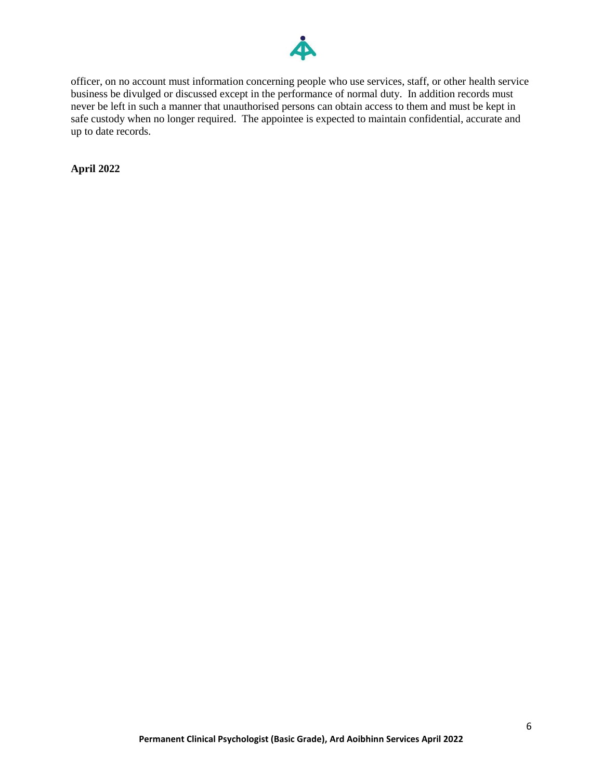

officer, on no account must information concerning people who use services, staff, or other health service business be divulged or discussed except in the performance of normal duty. In addition records must never be left in such a manner that unauthorised persons can obtain access to them and must be kept in safe custody when no longer required. The appointee is expected to maintain confidential, accurate and up to date records.

**April 2022**